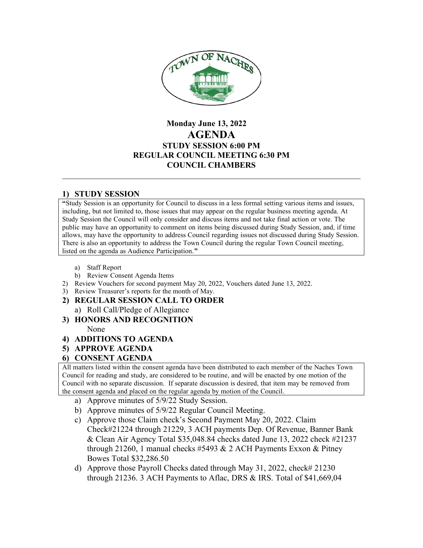

# **Monday June 13, 2022 AGENDA STUDY SESSION 6:00 PM REGULAR COUNCIL MEETING 6:30 PM COUNCIL CHAMBERS**

## **1) STUDY SESSION**

**"**Study Session is an opportunity for Council to discuss in a less formal setting various items and issues, including, but not limited to, those issues that may appear on the regular business meeting agenda. At Study Session the Council will only consider and discuss items and not take final action or vote. The public may have an opportunity to comment on items being discussed during Study Session, and, if time allows, may have the opportunity to address Council regarding issues not discussed during Study Session. There is also an opportunity to address the Town Council during the regular Town Council meeting, listed on the agenda as Audience Participation.**"**

- a) Staff Report
- b) Review Consent Agenda Items
- 2) Review Vouchers for second payment May 20, 2022, Vouchers dated June 13, 2022.
- 3) Review Treasurer's reports for the month of May.
- **2) REGULAR SESSION CALL TO ORDER**
	- a) Roll Call/Pledge of Allegiance
- **3) HONORS AND RECOGNITION**

None

- **4) ADDITIONS TO AGENDA**
- **5) APPROVE AGENDA**

# **6) CONSENT AGENDA**

All matters listed within the consent agenda have been distributed to each member of the Naches Town Council for reading and study, are considered to be routine, and will be enacted by one motion of the Council with no separate discussion. If separate discussion is desired, that item may be removed from the consent agenda and placed on the regular agenda by motion of the Council.

- a) Approve minutes of 5/9/22 Study Session.
- b) Approve minutes of 5/9/22 Regular Council Meeting.
- c) Approve those Claim check's Second Payment May 20, 2022. Claim Check#21224 through 21229, 3 ACH payments Dep. Of Revenue, Banner Bank & Clean Air Agency Total \$35,048.84 checks dated June 13, 2022 check #21237 through 21260, 1 manual checks #5493  $& 2$  ACH Payments Exxon  $&$  Pitney Bowes Total \$32,286.50
- d) Approve those Payroll Checks dated through May 31, 2022, check# 21230 through 21236. 3 ACH Payments to Aflac, DRS & IRS. Total of \$41,669,04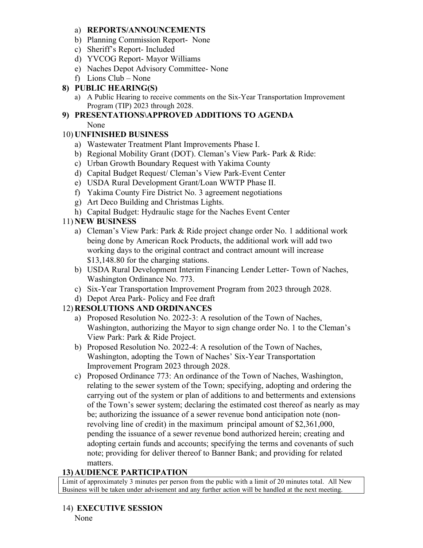### a) **REPORTS/ANNOUNCEMENTS**

- b) Planning Commission Report- None
- c) Sheriff's Report- Included
- d) YVCOG Report- Mayor Williams
- e) Naches Depot Advisory Committee- None
- f) Lions Club None

### **8) PUBLIC HEARING(S)**

a) A Public Hearing to receive comments on the Six-Year Transportation Improvement Program (TIP) 2023 through 2028.

# **9) PRESENTATIONS\APPROVED ADDITIONS TO AGENDA**

None

### 10) **UNFINISHED BUSINESS**

- a) Wastewater Treatment Plant Improvements Phase I.
- b) Regional Mobility Grant (DOT). Cleman's View Park- Park & Ride:
- c) Urban Growth Boundary Request with Yakima County
- d) Capital Budget Request/ Cleman's View Park-Event Center
- e) USDA Rural Development Grant/Loan WWTP Phase II.
- f) Yakima County Fire District No. 3 agreement negotiations
- g) Art Deco Building and Christmas Lights.
- h) Capital Budget: Hydraulic stage for the Naches Event Center

## 11) **NEW BUSINESS**

- a) Cleman's View Park: Park & Ride project change order No. 1 additional work being done by American Rock Products, the additional work will add two working days to the original contract and contract amount will increase \$13,148.80 for the charging stations.
- b) USDA Rural Development Interim Financing Lender Letter- Town of Naches, Washington Ordinance No. 773.
- c) Six-Year Transportation Improvement Program from 2023 through 2028.
- d) Depot Area Park- Policy and Fee draft

## 12) **RESOLUTIONS AND ORDINANCES**

- a) Proposed Resolution No. 2022-3: A resolution of the Town of Naches, Washington, authorizing the Mayor to sign change order No. 1 to the Cleman's View Park: Park & Ride Project.
- b) Proposed Resolution No. 2022-4: A resolution of the Town of Naches, Washington, adopting the Town of Naches' Six-Year Transportation Improvement Program 2023 through 2028.
- c) Proposed Ordinance 773: An ordinance of the Town of Naches, Washington, relating to the sewer system of the Town; specifying, adopting and ordering the carrying out of the system or plan of additions to and betterments and extensions of the Town's sewer system; declaring the estimated cost thereof as nearly as may be; authorizing the issuance of a sewer revenue bond anticipation note (nonrevolving line of credit) in the maximum principal amount of \$2,361,000, pending the issuance of a sewer revenue bond authorized herein; creating and adopting certain funds and accounts; specifying the terms and covenants of such note; providing for deliver thereof to Banner Bank; and providing for related matters.

# **13) AUDIENCE PARTICIPATION**

Limit of approximately 3 minutes per person from the public with a limit of 20 minutes total. All New Business will be taken under advisement and any further action will be handled at the next meeting.

14) **EXECUTIVE SESSION** None